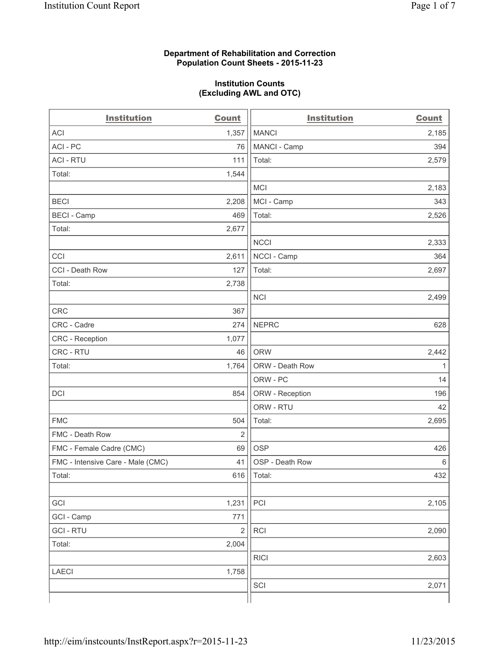#### **Department of Rehabilitation and Correction Population Count Sheets - 2015-11-23**

#### **Institution Counts (Excluding AWL and OTC)**

| <b>Institution</b>                | <b>Count</b>   | <b>Institution</b> | <b>Count</b> |
|-----------------------------------|----------------|--------------------|--------------|
| <b>ACI</b>                        | 1,357          | <b>MANCI</b>       | 2,185        |
| ACI - PC                          | 76             | MANCI - Camp       | 394          |
| <b>ACI - RTU</b>                  | 111            | Total:             | 2,579        |
| Total:                            | 1,544          |                    |              |
|                                   |                | <b>MCI</b>         | 2,183        |
| <b>BECI</b>                       | 2,208          | MCI - Camp         | 343          |
| <b>BECI</b> - Camp                | 469            | Total:             | 2,526        |
| Total:                            | 2,677          |                    |              |
|                                   |                | <b>NCCI</b>        | 2,333        |
| CCI                               | 2,611          | NCCI - Camp        | 364          |
| CCI - Death Row                   | 127            | Total:             | 2,697        |
| Total:                            | 2,738          |                    |              |
|                                   |                | <b>NCI</b>         | 2,499        |
| <b>CRC</b>                        | 367            |                    |              |
| CRC - Cadre                       | 274            | <b>NEPRC</b>       | 628          |
| CRC - Reception                   | 1,077          |                    |              |
| CRC - RTU                         | 46             | <b>ORW</b>         | 2,442        |
| Total:                            | 1,764          | ORW - Death Row    | 1            |
|                                   |                | ORW - PC           | 14           |
| DCI                               | 854            | ORW - Reception    | 196          |
|                                   |                | ORW - RTU          | 42           |
| <b>FMC</b>                        | 504            | Total:             | 2,695        |
| FMC - Death Row                   | $\overline{2}$ |                    |              |
| FMC - Female Cadre (CMC)          | 69             | <b>OSP</b>         | 426          |
| FMC - Intensive Care - Male (CMC) | 41             | OSP - Death Row    | 6            |
| Total:                            | 616            | Total:             | 432          |
|                                   |                |                    |              |
| GCI                               | 1,231          | PCI                | 2,105        |
| GCI - Camp                        | 771            |                    |              |
| <b>GCI-RTU</b>                    | $\overline{c}$ | <b>RCI</b>         | 2,090        |
| Total:                            | 2,004          |                    |              |
|                                   |                | <b>RICI</b>        | 2,603        |
| <b>LAECI</b>                      | 1,758          |                    |              |
|                                   |                | SCI                | 2,071        |
|                                   |                |                    |              |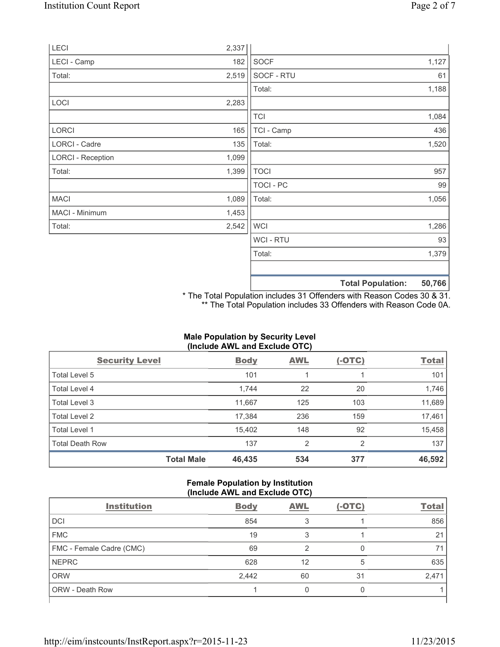| LECI                     | 2,337 |                  |                          |        |
|--------------------------|-------|------------------|--------------------------|--------|
| LECI - Camp              | 182   | <b>SOCF</b>      |                          | 1,127  |
| Total:                   | 2,519 | SOCF - RTU       |                          | 61     |
|                          |       | Total:           |                          | 1,188  |
| LOCI                     | 2,283 |                  |                          |        |
|                          |       | <b>TCI</b>       |                          | 1,084  |
| LORCI                    | 165   | TCI - Camp       |                          | 436    |
| LORCI - Cadre            | 135   | Total:           |                          | 1,520  |
| <b>LORCI - Reception</b> | 1,099 |                  |                          |        |
| Total:                   | 1,399 | <b>TOCI</b>      |                          | 957    |
|                          |       | <b>TOCI - PC</b> |                          | 99     |
| <b>MACI</b>              | 1,089 | Total:           |                          | 1,056  |
| MACI - Minimum           | 1,453 |                  |                          |        |
| Total:                   | 2,542 | <b>WCI</b>       |                          | 1,286  |
|                          |       | <b>WCI-RTU</b>   |                          | 93     |
|                          |       | Total:           |                          | 1,379  |
|                          |       |                  | <b>Total Population:</b> | 50,766 |

\* The Total Population includes 31 Offenders with Reason Codes 30 & 31. \*\* The Total Population includes 33 Offenders with Reason Code 0A.

# **Male Population by Security Level (Include AWL and Exclude OTC)**

| <b>Security Level</b>  |                   | <b>Body</b> | <b>AWL</b>     | $(-OTC)$ | <b>Total</b> |
|------------------------|-------------------|-------------|----------------|----------|--------------|
| Total Level 5          |                   | 101         |                |          | 101          |
| <b>Total Level 4</b>   |                   | 1,744       | 22             | 20       | 1,746        |
| Total Level 3          |                   | 11,667      | 125            | 103      | 11,689       |
| Total Level 2          |                   | 17,384      | 236            | 159      | 17,461       |
| Total Level 1          |                   | 15,402      | 148            | 92       | 15,458       |
| <b>Total Death Row</b> |                   | 137         | $\overline{2}$ | 2        | 137          |
|                        | <b>Total Male</b> | 46,435      | 534            | 377      | 46,592       |

# **Female Population by Institution (Include AWL and Exclude OTC)**

| <b>Institution</b>       | <b>Body</b> | <b>AWL</b> | $(-OTC)$ | <b>Total</b> |  |
|--------------------------|-------------|------------|----------|--------------|--|
| DCI                      | 854         |            |          | 856          |  |
| <b>FMC</b>               | 19          |            |          | 21           |  |
| FMC - Female Cadre (CMC) | 69          | 2          |          |              |  |
| <b>NEPRC</b>             | 628         | 12         | 5        | 635          |  |
| <b>ORW</b>               | 2,442       | 60         | 31       | 2,471        |  |
| ORW - Death Row          |             |            |          |              |  |
|                          |             |            |          |              |  |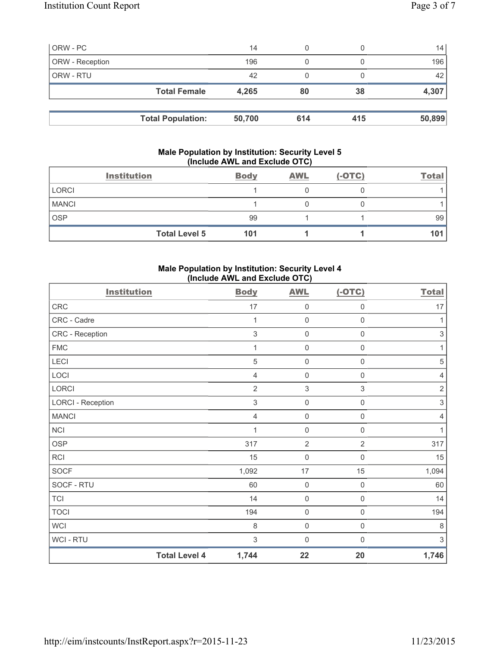| ORW - PC        |                          | 14     | 0   |     | 14     |
|-----------------|--------------------------|--------|-----|-----|--------|
| ORW - Reception |                          | 196    | 0   |     | 196    |
| ORW - RTU       |                          | 42     | 0   |     | 42     |
|                 | <b>Total Female</b>      | 4,265  | 80  | 38  | 4,307  |
|                 |                          |        |     |     |        |
|                 | <b>Total Population:</b> | 50,700 | 614 | 415 | 50,899 |

# **Male Population by Institution: Security Level 5 (Include AWL and Exclude OTC)**

|              | <b>Institution</b>   | <b>Body</b> | <b>AWL</b> | $(-OTC)$ | <b>Total</b> |
|--------------|----------------------|-------------|------------|----------|--------------|
| <b>LORCI</b> |                      |             |            |          |              |
| <b>MANCI</b> |                      |             |            |          |              |
| <b>OSP</b>   |                      | 99          |            |          | 99           |
|              | <b>Total Level 5</b> | 101         |            |          | 101          |

# **Male Population by Institution: Security Level 4 (Include AWL and Exclude OTC)**

| <b>Institution</b>       |                      | <b>Body</b>    | <b>AWL</b>          | $(-OTC)$            | <b>Total</b>              |
|--------------------------|----------------------|----------------|---------------------|---------------------|---------------------------|
| <b>CRC</b>               |                      | 17             | $\mathsf{O}\xspace$ | $\mathsf 0$         | 17                        |
| CRC - Cadre              |                      | 1              | $\mathsf{O}\xspace$ | $\mathsf 0$         | 1                         |
| CRC - Reception          |                      | 3              | $\mathsf{O}\xspace$ | 0                   | $\ensuremath{\mathsf{3}}$ |
| <b>FMC</b>               |                      | 1              | $\mathsf{O}\xspace$ | $\mathsf{O}\xspace$ | 1                         |
| LECI                     |                      | 5              | $\mathsf{O}\xspace$ | $\mathsf{O}\xspace$ | $\sqrt{5}$                |
| LOCI                     |                      | 4              | $\mathsf{0}$        | $\mathbf 0$         | $\overline{4}$            |
| <b>LORCI</b>             |                      | $\overline{2}$ | $\sqrt{3}$          | $\,$ 3 $\,$         | $\sqrt{2}$                |
| <b>LORCI - Reception</b> |                      | $\,$ 3 $\,$    | $\mathsf{O}\xspace$ | $\mathsf{O}\xspace$ | $\sqrt{3}$                |
| <b>MANCI</b>             |                      | 4              | $\mathsf{O}\xspace$ | 0                   | $\overline{4}$            |
| <b>NCI</b>               |                      | 1              | $\mathsf{O}\xspace$ | $\mathbf 0$         | 1                         |
| <b>OSP</b>               |                      | 317            | $\overline{2}$      | $\overline{2}$      | 317                       |
| <b>RCI</b>               |                      | 15             | $\mathsf{O}\xspace$ | 0                   | 15                        |
| <b>SOCF</b>              |                      | 1,092          | 17                  | 15                  | 1,094                     |
| SOCF - RTU               |                      | 60             | $\mathbf 0$         | $\mathsf{O}\xspace$ | 60                        |
| <b>TCI</b>               |                      | 14             | $\mathsf{O}\xspace$ | $\boldsymbol{0}$    | 14                        |
| <b>TOCI</b>              |                      | 194            | $\mathsf{O}\xspace$ | $\boldsymbol{0}$    | 194                       |
| <b>WCI</b>               |                      | 8              | $\mathsf{O}\xspace$ | $\mathsf{O}\xspace$ | $\,8\,$                   |
| WCI - RTU                |                      | 3              | $\mathbf 0$         | $\mathbf 0$         | $\ensuremath{\mathsf{3}}$ |
|                          | <b>Total Level 4</b> | 1,744          | 22                  | 20                  | 1,746                     |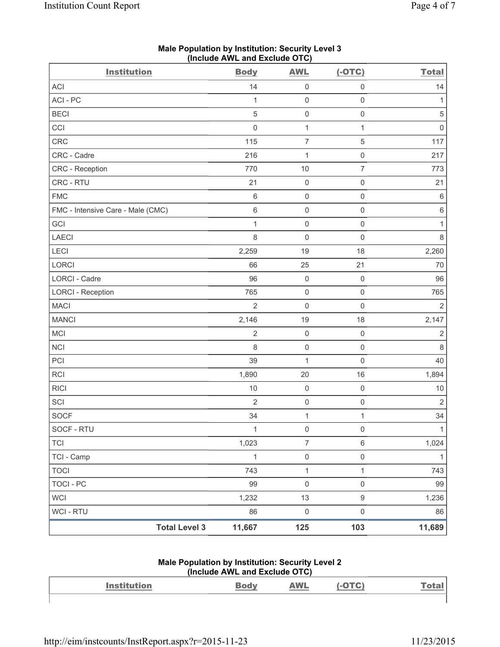| <b>Institution</b>                | Include AME and Exercise OTOJ<br><b>Body</b> | <b>AWL</b>          | $(-OTC)$            | <b>Total</b>   |
|-----------------------------------|----------------------------------------------|---------------------|---------------------|----------------|
| ACI                               | 14                                           | $\mathsf 0$         | $\mathsf 0$         | 14             |
| ACI - PC                          | 1                                            | $\mathsf 0$         | $\mathsf 0$         | 1              |
| <b>BECI</b>                       | $\overline{5}$                               | $\mathsf{O}\xspace$ | $\mathsf{O}\xspace$ | $\sqrt{5}$     |
| CCI                               | $\mathbf 0$                                  | $\mathbf{1}$        | $\mathbf{1}$        | $\mathsf 0$    |
| CRC                               | 115                                          | $\overline{7}$      | $\mathbf 5$         | 117            |
| CRC - Cadre                       | 216                                          | $\mathbf{1}$        | $\mathsf 0$         | 217            |
| CRC - Reception                   | 770                                          | 10                  | $\boldsymbol{7}$    | 773            |
| CRC - RTU                         | 21                                           | $\mathsf{O}\xspace$ | $\mathsf 0$         | 21             |
| <b>FMC</b>                        | $\,6\,$                                      | 0                   | $\mathsf 0$         | $\,6\,$        |
| FMC - Intensive Care - Male (CMC) | $6\,$                                        | $\mathsf{O}\xspace$ | $\mathsf 0$         | $\,6\,$        |
| GCI                               | 1                                            | $\mathsf 0$         | $\mathsf 0$         | $\mathbf{1}$   |
| <b>LAECI</b>                      | 8                                            | $\mathsf{O}\xspace$ | $\mathsf 0$         | $\,8\,$        |
| <b>LECI</b>                       | 2,259                                        | 19                  | 18                  | 2,260          |
| LORCI                             | 66                                           | 25                  | 21                  | $70$           |
| LORCI - Cadre                     | 96                                           | $\mathsf{O}\xspace$ | $\mathbf 0$         | 96             |
| <b>LORCI - Reception</b>          | 765                                          | $\mathsf{O}\xspace$ | $\mathsf 0$         | 765            |
| <b>MACI</b>                       | $\overline{2}$                               | $\mathsf{O}\xspace$ | $\mathbf 0$         | $\overline{2}$ |
| <b>MANCI</b>                      | 2,146                                        | 19                  | 18                  | 2,147          |
| MCI                               | $\overline{2}$                               | $\mathsf 0$         | $\mathsf{O}\xspace$ | $\sqrt{2}$     |
| <b>NCI</b>                        | 8                                            | $\mathsf{O}\xspace$ | $\mathsf 0$         | $\,8\,$        |
| PCI                               | 39                                           | 1                   | $\mathsf 0$         | 40             |
| RCI                               | 1,890                                        | 20                  | 16                  | 1,894          |
| <b>RICI</b>                       | 10                                           | $\mathsf{O}\xspace$ | $\mathsf 0$         | $10$           |
| SCI                               | $\overline{2}$                               | $\mathsf{O}\xspace$ | $\mathsf{O}\xspace$ | $\overline{2}$ |
| <b>SOCF</b>                       | 34                                           | $\mathbf{1}$        | 1                   | 34             |
| SOCF - RTU                        | $\mathbf{1}$                                 | $\mathsf 0$         | $\mathsf 0$         | $\mathbf{1}$   |
| <b>TCI</b>                        | 1,023                                        | $\overline{7}$      | 6                   | 1,024          |
| TCI - Camp                        | $\mathbf{1}$                                 | $\mathsf{O}\xspace$ | $\mathsf 0$         | $\mathbf{1}$   |
| <b>TOCI</b>                       | 743                                          | $\mathbf{1}$        | 1                   | 743            |
| <b>TOCI - PC</b>                  | 99                                           | 0                   | $\mathsf 0$         | 99             |
| <b>WCI</b>                        | 1,232                                        | 13                  | $\boldsymbol{9}$    | 1,236          |
| WCI - RTU                         | 86                                           | 0                   | $\mathsf 0$         | 86             |
| <b>Total Level 3</b>              | 11,667                                       | 125                 | 103                 | 11,689         |

#### **Male Population by Institution: Security Level 3 (Include AWL and Exclude OTC)**

#### **Male Population by Institution: Security Level 2 (Include AWL and Exclude OTC)**

|                    | $(110)(1440)$ $(1114)$ $(114)$ $(1014)$ |            |               |
|--------------------|-----------------------------------------|------------|---------------|
| <b>Institution</b> |                                         | <b>AWL</b> | <u> Total</u> |
|                    |                                         |            |               |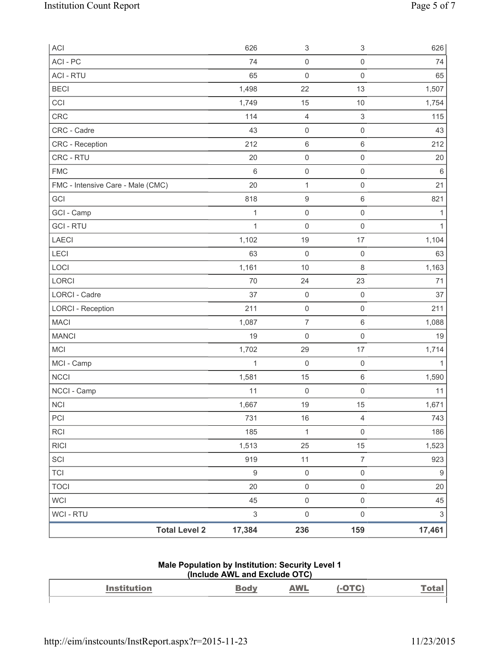| ACI                               |                      | 626                       | $\ensuremath{\mathsf{3}}$ | $\ensuremath{\mathsf{3}}$ | 626                       |
|-----------------------------------|----------------------|---------------------------|---------------------------|---------------------------|---------------------------|
| ACI-PC                            |                      | 74                        | $\mathsf{O}\xspace$       | $\mathsf 0$               | 74                        |
| <b>ACI - RTU</b>                  |                      | 65                        | $\mathbf 0$               | $\mathsf 0$               | 65                        |
| <b>BECI</b>                       |                      | 1,498                     | 22                        | 13                        | 1,507                     |
| CCI                               |                      | 1,749                     | 15                        | $10$                      | 1,754                     |
| <b>CRC</b>                        |                      | 114                       | 4                         | $\ensuremath{\mathsf{3}}$ | 115                       |
| CRC - Cadre                       |                      | 43                        | $\mathsf{O}\xspace$       | $\mathsf{O}\xspace$       | 43                        |
| CRC - Reception                   |                      | 212                       | 6                         | $\,6\,$                   | 212                       |
| CRC - RTU                         |                      | 20                        | $\mathsf{O}\xspace$       | $\mathsf 0$               | 20                        |
| <b>FMC</b>                        |                      | $\,6$                     | $\mathsf{O}\xspace$       | $\mathsf{O}\xspace$       | $\,6\,$                   |
| FMC - Intensive Care - Male (CMC) |                      | 20                        | $\mathbf 1$               | $\mathsf{O}\xspace$       | 21                        |
| GCI                               |                      | 818                       | $\hbox{9}$                | $\,6\,$                   | 821                       |
| GCI - Camp                        |                      | 1                         | $\mathsf{O}\xspace$       | $\mathsf 0$               | 1                         |
| <b>GCI-RTU</b>                    |                      | 1                         | $\mathsf{O}\xspace$       | $\mathsf{O}\xspace$       | 1                         |
| <b>LAECI</b>                      |                      | 1,102                     | 19                        | 17                        | 1,104                     |
| <b>LECI</b>                       |                      | 63                        | $\mathbf 0$               | $\mathsf 0$               | 63                        |
| LOCI                              |                      | 1,161                     | 10                        | $\,8\,$                   | 1,163                     |
| LORCI                             |                      | 70                        | 24                        | 23                        | 71                        |
| LORCI - Cadre                     |                      | 37                        | $\mathsf{O}\xspace$       | $\mathsf{O}\xspace$       | 37                        |
| <b>LORCI - Reception</b>          |                      | 211                       | $\mathsf{O}\xspace$       | $\mathsf{O}\xspace$       | 211                       |
| <b>MACI</b>                       |                      | 1,087                     | $\overline{\mathcal{I}}$  | $\,6\,$                   | 1,088                     |
| <b>MANCI</b>                      |                      | 19                        | $\mathsf{O}\xspace$       | $\mathsf{O}\xspace$       | 19                        |
| <b>MCI</b>                        |                      | 1,702                     | 29                        | 17                        | 1,714                     |
| MCI - Camp                        |                      | 1                         | 0                         | $\mathsf 0$               | $\mathbf{1}$              |
| <b>NCCI</b>                       |                      | 1,581                     | 15                        | $\,6\,$                   | 1,590                     |
| NCCI - Camp                       |                      | 11                        | $\boldsymbol{0}$          | $\mathsf 0$               | 11                        |
| <b>NCI</b>                        |                      | 1,667                     | 19                        | 15                        | 1,671                     |
| PCI                               |                      | 731                       | 16                        | $\overline{4}$            | 743                       |
| RCI                               |                      | 185                       | $\mathbf 1$               | $\mathsf{O}\xspace$       | 186                       |
| <b>RICI</b>                       |                      | 1,513                     | 25                        | 15                        | 1,523                     |
| SCI                               |                      | 919                       | 11                        | $\overline{7}$            | 923                       |
| <b>TCI</b>                        |                      | $\boldsymbol{9}$          | $\mathsf{O}\xspace$       | $\mathsf{O}\xspace$       | $\boldsymbol{9}$          |
| <b>TOCI</b>                       |                      | 20                        | $\mathsf{O}\xspace$       | $\mathsf 0$               | 20                        |
| <b>WCI</b>                        |                      | 45                        | $\mathsf{O}\xspace$       | $\mathsf 0$               | 45                        |
| WCI - RTU                         |                      | $\ensuremath{\mathsf{3}}$ | $\mathsf{O}\xspace$       | $\mathsf{O}\xspace$       | $\ensuremath{\mathsf{3}}$ |
|                                   | <b>Total Level 2</b> | 17,384                    | 236                       | 159                       | 17,461                    |

#### **Male Population by Institution: Security Level 1 (Include AWL and Exclude OTC)**

| $\mathbf{A}$ and $\mathbf{A}$<br>--------- | <b><i>MAI</i></b><br>and the contract of the contract of |  |
|--------------------------------------------|----------------------------------------------------------|--|
|                                            |                                                          |  |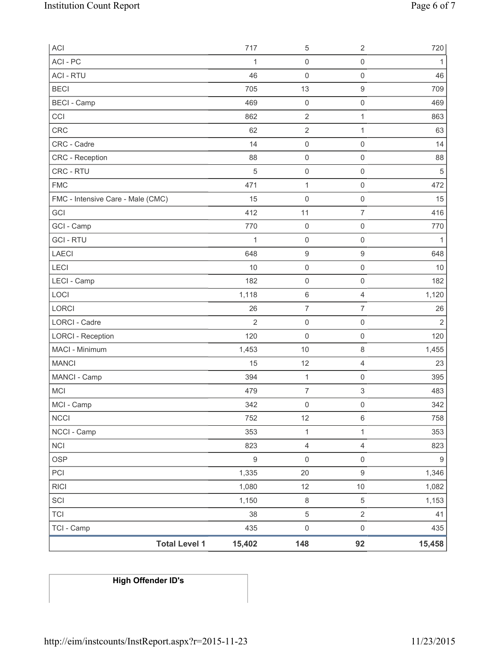| ACI                               | 717              | 5                   | $\sqrt{2}$                | 720              |
|-----------------------------------|------------------|---------------------|---------------------------|------------------|
| ACI - PC                          | 1                | 0                   | $\mathsf 0$               | 1                |
| <b>ACI - RTU</b>                  | 46               | 0                   | $\mathsf 0$               | 46               |
| <b>BECI</b>                       | 705              | 13                  | $\boldsymbol{9}$          | 709              |
| <b>BECI - Camp</b>                | 469              | $\mathsf{O}\xspace$ | $\mathsf{O}\xspace$       | 469              |
| CCI                               | 862              | $\mathbf 2$         | 1                         | 863              |
| CRC                               | 62               | $\sqrt{2}$          | $\mathbf{1}$              | 63               |
| CRC - Cadre                       | 14               | $\mathsf{O}\xspace$ | $\mathsf 0$               | 14               |
| <b>CRC</b> - Reception            | 88               | $\mathsf{O}\xspace$ | $\mathsf 0$               | 88               |
| CRC - RTU                         | 5                | $\mathsf{O}\xspace$ | $\mathsf 0$               | 5                |
| <b>FMC</b>                        | 471              | $\mathbf 1$         | $\mathsf 0$               | 472              |
| FMC - Intensive Care - Male (CMC) | 15               | $\mathbf 0$         | $\mathsf 0$               | 15               |
| GCI                               | 412              | 11                  | $\overline{7}$            | 416              |
| GCI - Camp                        | 770              | $\mathsf{O}\xspace$ | $\mathbf 0$               | 770              |
| <b>GCI-RTU</b>                    | $\mathbf{1}$     | $\mathsf 0$         | $\mathsf 0$               | 1                |
| <b>LAECI</b>                      | 648              | $\boldsymbol{9}$    | $\boldsymbol{9}$          | 648              |
| LECI                              | 10               | $\mathbf 0$         | $\mathsf 0$               | 10               |
| LECI - Camp                       | 182              | 0                   | $\mathbf 0$               | 182              |
| LOCI                              | 1,118            | 6                   | $\overline{4}$            | 1,120            |
| LORCI                             | 26               | $\overline{7}$      | $\overline{7}$            | 26               |
| <b>LORCI - Cadre</b>              | $\overline{2}$   | $\mathsf{O}\xspace$ | $\mathsf 0$               | $\overline{2}$   |
| <b>LORCI - Reception</b>          | 120              | $\mathbf 0$         | $\mathsf 0$               | 120              |
| MACI - Minimum                    | 1,453            | 10                  | $\,8\,$                   | 1,455            |
| <b>MANCI</b>                      | 15               | 12                  | $\overline{4}$            | 23               |
| MANCI - Camp                      | 394              | $\mathbf{1}$        | $\mathsf{O}\xspace$       | 395              |
| <b>MCI</b>                        | 479              | $\overline{7}$      | $\ensuremath{\mathsf{3}}$ | 483              |
| MCI - Camp                        | 342              | 0                   | $\mathsf{O}\xspace$       | 342              |
| <b>NCCI</b>                       | 752              | 12                  | $\,6\,$                   | 758              |
| NCCI - Camp                       | 353              | $\mathbf 1$         | 1                         | 353              |
| <b>NCI</b>                        | 823              | 4                   | $\overline{4}$            | 823              |
| <b>OSP</b>                        | $\boldsymbol{9}$ | $\mathsf{O}\xspace$ | $\mathsf 0$               | $\boldsymbol{9}$ |
| PCI                               | 1,335            | 20                  | $\mathsf g$               | 1,346            |
| <b>RICI</b>                       | 1,080            | 12                  | 10                        | 1,082            |
| SCI                               | 1,150            | $\,8\,$             | $\,$ 5 $\,$               | 1,153            |
| <b>TCI</b>                        | 38               | $\,$ 5 $\,$         | $\sqrt{2}$                | 41               |
| TCI - Camp                        | 435              | $\mathsf{O}\xspace$ | $\mathsf 0$               | 435              |
| <b>Total Level 1</b>              | 15,402           | 148                 | 92                        | 15,458           |

# **High Offender ID's**